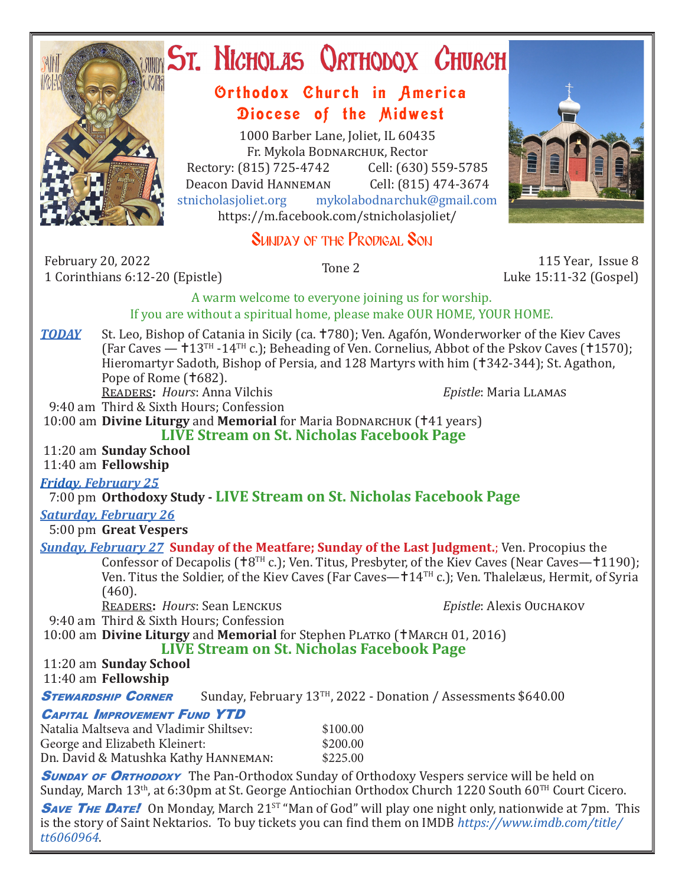

# ST. NICHOLAS QRTHODOX CHURCH

# Orthodox Church in America Diocese of the Midwest

1000 Barber Lane, Joliet, IL 60435 Fr. Mykola Bodnarchuk, Rector<br>315) 725-4742 Cell: (630) 559-5785 Rectory: (815) 725-4742 Cell: (630) 559-5785<br>Deacon David HANNEMAN Cell: (815) 474-3674 Deacon David Hanneman<br>stnicholasioliet.org mykola mykolabodnarchuk@gmail.com https://m.facebook.com/stnicholasjoliet/

# SUNDAY OF THE PRODIGAL SON

February 20, 2022 1 Corinthians 6:12-20 (Epistle) Tone 2 115 Year, Issue 8

Luke 15:11-32 (Gospel)

A warm welcome to everyone joining us for worship.

## If you are without a spiritual home, please make OUR HOME, YOUR HOME.

**TODAY** St. Leo, Bishop of Catania in Sicily (ca. †780); Ven. Agafón, Wonderworker of the Kiev Caves (Far Caves  $-$  †13<sup>TH</sup> -14<sup>TH</sup> c.); Beheading of Ven. Cornelius, Abbot of the Pskov Caves (†1570); Hieromartyr Sadoth, Bishop of Persia, and 128 Martyrs with him (†342-344); St. Agathon, Pope of Rome (†682).

Readers**:** *Hours*: Anna Vilchis *Epistle*: Maria Llamas

9:40 am Third & Sixth Hours; Confession

10:00 am **Divine Liturgy** and **Memorial** for Maria BODNARCHUK (†41 years) **LIVE Stream on St. Nicholas Facebook Page**

## 11:20 am **Sunday School**

11:40 am **Fellowship**

#### *Friday, February 25*

7:00 pm **Orthodoxy Study - LIVE Stream on St. Nicholas Facebook Page**

## *Saturday, February 26*

5:00 pm **Great Vespers**

*Sunday, February 27* **Sunday of the Meatfare; Sunday of the Last Judgment.**; Ven. Procopius the Confessor of Decapolis ( $\text{t}8^{\text{TH}}$  c.); Ven. Titus, Presbyter, of the Kiev Caves (Near Caves— $\text{t}1190$ ); Ven. Titus the Soldier, of the Kiev Caves (Far Caves—†14<sup>TH</sup> c.); Ven. Thalelæus, Hermit, of Syria (460).

Readers**:** *Hours*: Sean Lenckus *Epistle*: Alexis Ouchakov

 9:40 am Third & Sixth Hours; Confession 10:00 am **Divine Liturgy** and **Memorial** for Stephen PLATKO (†MARCH 01, 2016)

 **LIVE Stream on St. Nicholas Facebook Page**

11:20 am **Sunday School**

11:40 am **Fellowship**

**STEWARDSHIP CORNER** Sunday, February 13<sup>TH</sup>, 2022 - Donation / Assessments \$640.00

#### **CAPITAL IMPROVEMENT FUND YTD**

| Natalia Maltseva and Vladimir Shiltsev: | \$100.00 |
|-----------------------------------------|----------|
| George and Elizabeth Kleinert:          | \$200.00 |
| Dn. David & Matushka Kathy HANNEMAN:    | \$225.00 |

**SUNDAY OF ORTHODOXY** The Pan-Orthodox Sunday of Orthodoxy Vespers service will be held on Sunday, March 13<sup>th</sup>, at 6:30pm at St. George Antiochian Orthodox Church 1220 South 60<sup>TH</sup> Court Cicero.

**SAVE THE DATE!** On Monday, March 21<sup>ST</sup> "Man of God" will play one night only, nationwide at 7pm. This is the story of Saint Nektarios. To buy tickets you can find them on IMDB *https://www.imdb.com/title/ tt6060964*.